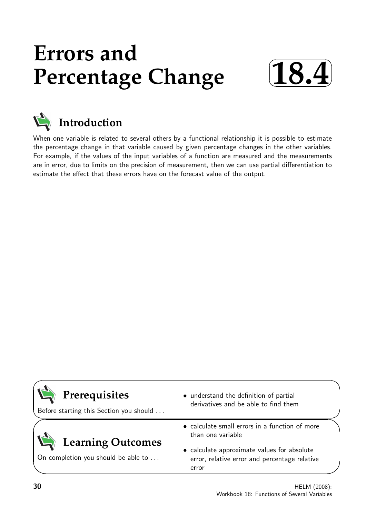# **Errors and Percentage Change**





When one variable is related to several others by a functional relationship it is possible to estimate the percentage change in that variable caused by given percentage changes in the other variables. For example, if the values of the input variables of a function are measured and the measurements are in error, due to limits on the precision of measurement, then we can use partial differentiation to estimate the effect that these errors have on the forecast value of the output.

| Prerequisites<br>Before starting this Section you should | • understand the definition of partial<br>derivatives and be able to find them                        |
|----------------------------------------------------------|-------------------------------------------------------------------------------------------------------|
| <b>Learning Outcomes</b>                                 | • calculate small errors in a function of more<br>than one variable                                   |
| On completion you should be able to                      | • calculate approximate values for absolute<br>error, relative error and percentage relative<br>error |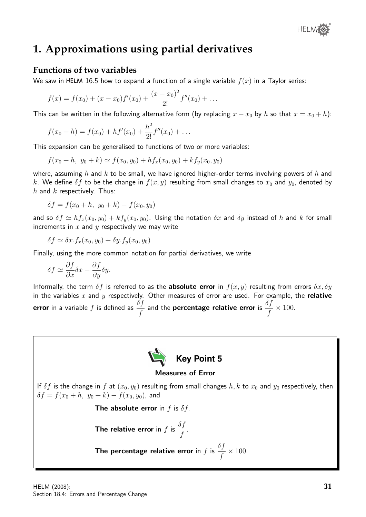

## **1. Approximations using partial derivatives**

#### **Functions of two variables**

We saw in HELM 16.5 how to expand a function of a single variable  $f(x)$  in a Taylor series:

$$
f(x) = f(x_0) + (x - x_0)f'(x_0) + \frac{(x - x_0)^2}{2!}f''(x_0) + \dots
$$

This can be written in the following alternative form (by replacing  $x - x_0$  by h so that  $x = x_0 + h$ ):

$$
f(x_0 + h) = f(x_0) + h f'(x_0) + \frac{h^2}{2!} f''(x_0) + \dots
$$

This expansion can be generalised to functions of two or more variables:

$$
f(x_0 + h, y_0 + k) \simeq f(x_0, y_0) + h f_x(x_0, y_0) + k f_y(x_0, y_0)
$$

where, assuming h and k to be small, we have ignored higher-order terms involving powers of h and k. We define  $\delta f$  to be the change in  $f(x, y)$  resulting from small changes to  $x_0$  and  $y_0$ , denoted by  $h$  and  $k$  respectively. Thus:

$$
\delta f = f(x_0 + h, y_0 + k) - f(x_0, y_0)
$$

and so  $\delta f \simeq h f_x(x_0, y_0) + k f_y(x_0, y_0)$ . Using the notation  $\delta x$  and  $\delta y$  instead of h and k for small increments in  $x$  and  $y$  respectively we may write

 $\delta f \simeq \delta x.f_x(x_0, y_0) + \delta y.f_y(x_0, y_0)$ 

Finally, using the more common notation for partial derivatives, we write

$$
\delta f \simeq \frac{\partial f}{\partial x} \delta x + \frac{\partial f}{\partial y} \delta y.
$$

Informally, the term  $\delta f$  is referred to as the **absolute error** in  $f(x, y)$  resulting from errors  $\delta x, \delta y$ in the variables x and y respectively. Other measures of error are used. For example, the relative **error** in a variable f is defined as  $\frac{\delta f}{f}$ f and the **percentage relative error** is  $\frac{\delta f}{\delta r}$ f  $\times$  100.



#### Measures of Error

If  $\delta f$  is the change in f at  $(x_0, y_0)$  resulting from small changes  $h, k$  to  $x_0$  and  $y_0$  respectively, then  $\delta f = f(x_0 + h, y_0 + k) - f(x_0, y_0)$ , and

The absolute error in  $f$  is  $\delta f$ .

The relative error in 
$$
f
$$
 is  $\frac{\delta f}{f}$ .  
The percentage relative error in  $f$  is  $\frac{\delta f}{f} \times 100$ .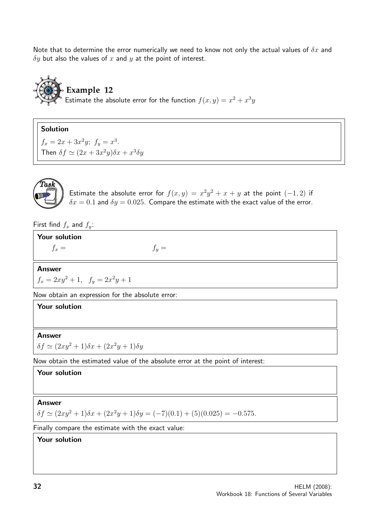Note that to determine the error numerically we need to know not only the actual values of  $\delta x$  and  $\delta y$  but also the values of x and y at the point of interest.



## **Example 12**

Estimate the absolute error for the function  $f(x, y) = x^2 + x^3y$ 

#### Solution

 $f_x = 2x + 3x^2y; f_y = x^3.$ Then  $\delta f \simeq (2x + 3x^2y)\delta x + x^3 \delta y$ 



Estimate the absolute error for  $f(x,y) = x^2y^2 + x + y$  at the point  $(-1,2)$  if  $\delta x = 0.1$  and  $\delta y = 0.025$ . Compare the estimate with the exact value of the error.

First find  $f_x$  and  $f_y$ :

Your solution  $f_x = f_y =$ Answer

 $f_x = 2xy^2 + 1$ ,  $f_y = 2x^2y + 1$ 

Now obtain an expression for the absolute error:

#### Your solution

#### Answer

 $\delta f \simeq (2xy^2 + 1)\delta x + (2x^2y + 1)\delta y$ 

Now obtain the estimated value of the absolute error at the point of interest:

## Your solution Answer  $\delta f \simeq (2xy^2 + 1)\delta x + (2x^2y + 1)\delta y = (-7)(0.1) + (5)(0.025) = -0.575.$

Finally compare the estimate with the exact value:

Your solution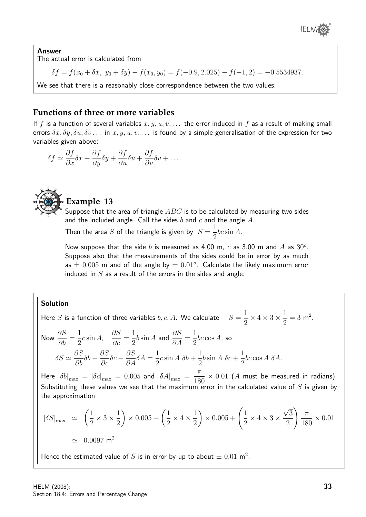Answer The actual error is calculated from

 $\delta f = f(x_0 + \delta x, y_0 + \delta y) - f(x_0, y_0) = f(-0.9, 2.025) - f(-1, 2) = -0.5534937.$ 

We see that there is a reasonably close correspondence between the two values.

#### **Functions of three or more variables**

If f is a function of several variables  $x, y, u, v, \ldots$  the error induced in f as a result of making small errors  $\delta x$ ,  $\delta y$ ,  $\delta u$ ,  $\delta v$ ... in  $x, y, u, v, \ldots$  is found by a simple generalisation of the expression for two variables given above:

$$
\delta f \simeq \frac{\partial f}{\partial x} \delta x + \frac{\partial f}{\partial y} \delta y + \frac{\partial f}{\partial u} \delta u + \frac{\partial f}{\partial v} \delta v + \dots
$$



#### **Example 13**

Suppose that the area of triangle  $ABC$  is to be calculated by measuring two sides and the included angle. Call the sides  $b$  and  $c$  and the angle  $A$ .

Then the area  $S$  of the triangle is given by  $S =$ 1 2  $bc \sin A$ .

Now suppose that the side b is measured as 4.00 m,  $c$  as 3.00 m and  $A$  as  $30^o$ . Suppose also that the measurements of the sides could be in error by as much as  $\pm$  0.005 m and of the angle by  $\pm$  0.01°. Calculate the likely maximum error induced in  $S$  as a result of the errors in the sides and angle.

#### Solution Here  $S$  is a function of three variables  $b, c, A$ . We calculate  $S =$ 1 2  $\times$  4  $\times$  3  $\times$   $\frac{1}{2}$ 2  $= 3 \, \text{m}^2.$ Now  $\frac{\partial S}{\partial t}$  $rac{\partial}{\partial b} =$ 1 2  $c \sin A$ , ∂S  $rac{\partial c}{\partial c}$  = 1 2  $b \sin A$  and  $\frac{\partial S}{\partial A}$  $\frac{\partial \mathcal{L}}{\partial A}$  = 1 2  $bc \cos A$ , so  $\delta S \simeq$ ∂S  $rac{\partial}{\partial b}\delta b +$ ∂S  $rac{\partial}{\partial c}\delta c +$  $\partial S$  $\frac{\partial S}{\partial A}\delta A=$ 1 2  $c \sin A \delta b +$ 1 2  $b \sin A \ \delta c +$ 1 2  $bc \cos A \, \delta A.$ Here  $\left|\delta b\right|_{\max} = \left|\delta c\right|_{\max} = 0.005$  and  $\left|\delta A\right|_{\max} = \frac{\pi}{18}$ 180  $\times$  0.01 (A must be measured in radians). Substituting these values we see that the maximum error in the calculated value of S is given by the approximation  $|\delta S|_{\text{max}}$   $\simeq$  $\sqrt{1}$ 2  $\times$  3  $\times \frac{1}{2}$ 2  $\bigg) \times 0.005 + \bigg(\frac{1}{2}\bigg)$ 2  $\times$  4  $\times \frac{1}{2}$ 2  $\bigg) \times 0.005 + \bigg(\frac{1}{2}\bigg)$ 2  $\times$  4  $\times$  3  $\times$ √ 3 2  $\bigwedge$  π 180  $\times$  0.01  $\simeq$  0.0097 m<sup>2</sup>

Hence the estimated value of S is in error by up to about  $\pm$  0.01 m<sup>2</sup>.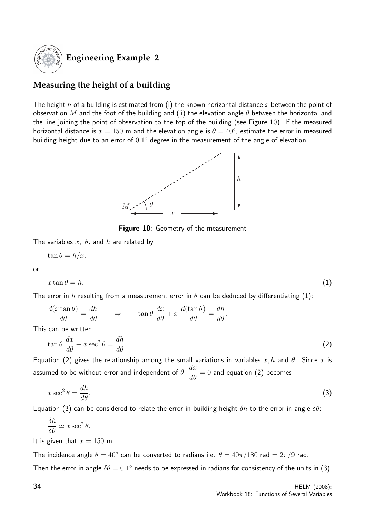

#### **Measuring the height of a building**

The height h of a building is estimated from (i) the known horizontal distance x between the point of observation M and the foot of the building and (ii) the elevation angle  $\theta$  between the horizontal and the line joining the point of observation to the top of the building (see Figure 10). If the measured horizontal distance is  $x = 150$  m and the elevation angle is  $\theta = 40^{\circ}$ , estimate the error in measured building height due to an error of 0.1◦ degree in the measurement of the angle of elevation.



Figure 10: Geometry of the measurement

The variables  $x, \theta$ , and h are related by

$$
\tan \theta = h/x.
$$

or

$$
x \tan \theta = h. \tag{1}
$$

The error in h resulting from a measurement error in  $\theta$  can be deduced by differentiating (1):

$$
\frac{d(x \tan \theta)}{d\theta} = \frac{dh}{d\theta} \qquad \Rightarrow \qquad \tan \theta \, \frac{dx}{d\theta} + x \, \frac{d(\tan \theta)}{d\theta} = \frac{dh}{d\theta}.
$$

This can be written

$$
\tan \theta \, \frac{dx}{d\theta} + x \sec^2 \theta = \frac{dh}{d\theta}.\tag{2}
$$

Equation (2) gives the relationship among the small variations in variables  $x, h$  and  $\theta$ . Since  $x$  is assumed to be without error and independent of  $\theta$ ,  $dx$  $\frac{d\omega}{d\theta} = 0$  and equation (2) becomes

$$
x \sec^2 \theta = \frac{dh}{d\theta}.\tag{3}
$$

Equation (3) can be considered to relate the error in building height  $\delta h$  to the error in angle  $\delta \theta$ :

$$
\frac{\delta h}{\delta \theta} \simeq x \sec^2 \theta.
$$

It is given that  $x = 150$  m.

The incidence angle  $\theta = 40^{\circ}$  can be converted to radians i.e.  $\theta = 40\pi/180$  rad  $= 2\pi/9$  rad.

Then the error in angle  $\delta\theta = 0.1^{\circ}$  needs to be expressed in radians for consistency of the units in (3).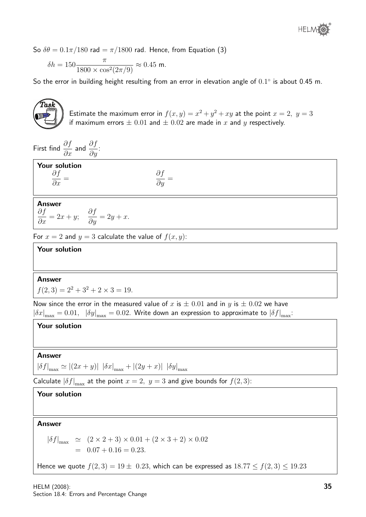So  $\delta\theta = 0.1\pi/180$  rad  $=\pi/1800$  rad. Hence, from Equation (3)

$$
\delta h = 150 \frac{\pi}{1800 \times \cos^2(2\pi/9)} \approx 0.45 \text{ m}.
$$

So the error in building height resulting from an error in elevation angle of  $0.1^{\circ}$  is about 0.45 m.



Estimate the maximum error in  $f(x,y) = x^2 + y^2 + xy$  at the point  $x = 2, y = 3$ if maximum errors  $\pm$  0.01 and  $\pm$  0.02 are made in x and y respectively.

First find  $\frac{\partial f}{\partial x}$  and  $\frac{\partial f}{\partial y}$ :

| Your solution<br>$\frac{\partial f}{\partial x} =$                                                       | $\partial y$ |  |
|----------------------------------------------------------------------------------------------------------|--------------|--|
| <b>Answer</b><br>$\frac{\partial f}{\partial x} = 2x + y; \quad \frac{\partial f}{\partial y} = 2y + x.$ |              |  |

For  $x = 2$  and  $y = 3$  calculate the value of  $f(x, y)$ :

#### Your solution

#### Answer

 $f(2, 3) = 2^2 + 3^2 + 2 \times 3 = 19.$ 

Now since the error in the measured value of x is  $\pm$  0.01 and in y is  $\pm$  0.02 we have  $|\delta x|_{\text{max}} = 0.01, \|\delta y\|_{\text{max}} = 0.02.$  Write down an expression to approximate to  $|\delta f|_{\text{max}}$ .

#### Your solution

#### Answer

 $|\delta f|_{\text{max}} \simeq |(2x+y)| \ |\delta x|_{\text{max}} + |(2y+x)| \ |\delta y|_{\text{max}}$ 

Calculate  $|\delta f|_{\text{max}}$  at the point  $x = 2$ ,  $y = 3$  and give bounds for  $f(2, 3)$ :

#### Your solution

#### Answer

$$
|\delta f|_{\text{max}} \simeq (2 \times 2 + 3) \times 0.01 + (2 \times 3 + 2) \times 0.02
$$
  
= 0.07 + 0.16 = 0.23.

Hence we quote  $f(2, 3) = 19 \pm 0.23$ , which can be expressed as  $18.77 \le f(2, 3) \le 19.23$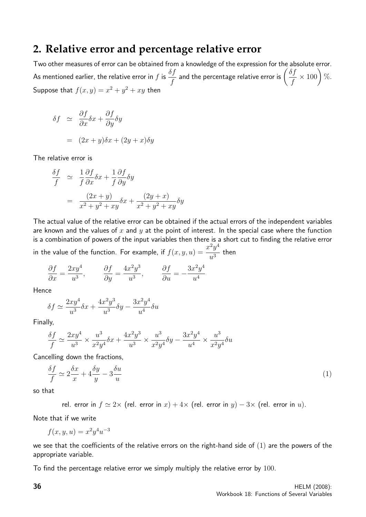### **2. Relative error and percentage relative error**

Two other measures of error can be obtained from a knowledge of the expression for the absolute error. As mentioned earlier, the relative error in  $f$  is  $\frac{\delta f}{f}$ f and the percentage relative error is  $\left(\frac{\delta f}{\delta}\right)$ f  $\times$  100  $\Big)$  %. Suppose that  $f(x,y) = x^2 + y^2 + xy$  then

$$
\delta f \simeq \frac{\partial f}{\partial x} \delta x + \frac{\partial f}{\partial y} \delta y
$$

$$
= (2x + y)\delta x + (2y + x)\delta y
$$

The relative error is

$$
\frac{\delta f}{f} \approx \frac{1}{f} \frac{\partial f}{\partial x} \delta x + \frac{1}{f} \frac{\partial f}{\partial y} \delta y
$$

$$
= \frac{(2x+y)}{x^2 + y^2 + xy} \delta x + \frac{(2y+x)}{x^2 + y^2 + xy} \delta y
$$

The actual value of the relative error can be obtained if the actual errors of the independent variables are known and the values of  $x$  and  $y$  at the point of interest. In the special case where the function is a combination of powers of the input variables then there is a short cut to finding the relative error in the value of the function. For example, if  $f(x,y,u) = \frac{x^2y^4}{v^3}$  $\frac{y}{u^3}$  then

$$
\frac{\partial f}{\partial x} = \frac{2xy^4}{u^3}, \qquad \frac{\partial f}{\partial y} = \frac{4x^2y^3}{u^3}, \qquad \frac{\partial f}{\partial u} = -\frac{3x^2y^4}{u^4}
$$

Hence

$$
\delta f \simeq \frac{2xy^4}{u^3} \delta x + \frac{4x^2y^3}{u^3} \delta y - \frac{3x^2y^4}{u^4} \delta u
$$

Finally,

$$
\frac{\delta f}{f} \simeq \frac{2xy^4}{u^3} \times \frac{u^3}{x^2y^4} \delta x + \frac{4x^2y^3}{u^3} \times \frac{u^3}{x^2y^4} \delta y - \frac{3x^2y^4}{u^4} \times \frac{u^3}{x^2y^4} \delta u
$$

Cancelling down the fractions,

$$
\frac{\delta f}{f} \simeq 2\frac{\delta x}{x} + 4\frac{\delta y}{y} - 3\frac{\delta u}{u} \tag{1}
$$

so that

rel. error in  $f \simeq 2 \times$  (rel. error in  $x$ ) + 4× (rel. error in  $y$ ) – 3× (rel. error in u).

Note that if we write

$$
f(x, y, u) = x^2 y^4 u^{-3}
$$

we see that the coefficients of the relative errors on the right-hand side of (1) are the powers of the appropriate variable.

To find the percentage relative error we simply multiply the relative error by 100.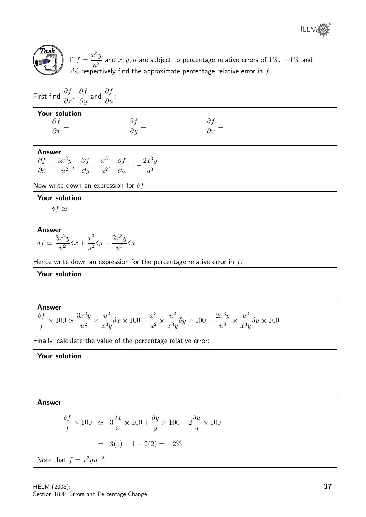



| First find $\frac{\partial f}{\partial x}$ , $\frac{\partial f}{\partial y}$ and $\frac{\partial f}{\partial u}$ : |                                                                                                                                                                  |                                   |  |  |  |
|--------------------------------------------------------------------------------------------------------------------|------------------------------------------------------------------------------------------------------------------------------------------------------------------|-----------------------------------|--|--|--|
| Your solution<br>$\frac{\partial f}{\partial x} =$                                                                 | $\frac{\partial f}{\partial u} =$                                                                                                                                | $\frac{\partial f}{\partial u} =$ |  |  |  |
| <b>Answer</b>                                                                                                      | $\frac{\partial f}{\partial x} = \frac{3x^2y}{u^2}$ , $\frac{\partial f}{\partial y} = \frac{x^3}{u^2}$ , $\frac{\partial f}{\partial u} = -\frac{2x^3y}{u^3}$ . |                                   |  |  |  |
| Now write down an expression for $\delta f$                                                                        |                                                                                                                                                                  |                                   |  |  |  |
| Your solution                                                                                                      |                                                                                                                                                                  |                                   |  |  |  |
| $\delta f \simeq$                                                                                                  |                                                                                                                                                                  |                                   |  |  |  |
| <b>Answer</b><br>$\delta f \simeq \frac{3x^2y}{u^2}\delta x + \frac{x^3}{u^2}\delta y - \frac{2x^3y}{u^3}\delta u$ |                                                                                                                                                                  |                                   |  |  |  |
|                                                                                                                    | Hence write down an expression for the percentage relative error in $f$ :                                                                                        |                                   |  |  |  |
| Your solution                                                                                                      |                                                                                                                                                                  |                                   |  |  |  |
|                                                                                                                    |                                                                                                                                                                  |                                   |  |  |  |
| Answer                                                                                                             |                                                                                                                                                                  |                                   |  |  |  |

$$
\frac{\delta f}{f} \times 100 \simeq \frac{3x^2y}{u^2} \times \frac{u^2}{x^3y} \delta x \times 100 + \frac{x^3}{u^2} \times \frac{u^2}{x^3y} \delta y \times 100 - \frac{2x^3y}{u^3} \times \frac{u^2}{x^3y} \delta u \times 100
$$

Finally, calculate the value of the percentage relative error:

Your solution

Answer

$$
\frac{\delta f}{f} \times 100 \simeq 3 \frac{\delta x}{x} \times 100 + \frac{\delta y}{y} \times 100 - 2 \frac{\delta u}{u} \times 100
$$

$$
= 3(1) - 1 - 2(2) = -2\%
$$

Note that  $f = x^3 y u^{-2}$ .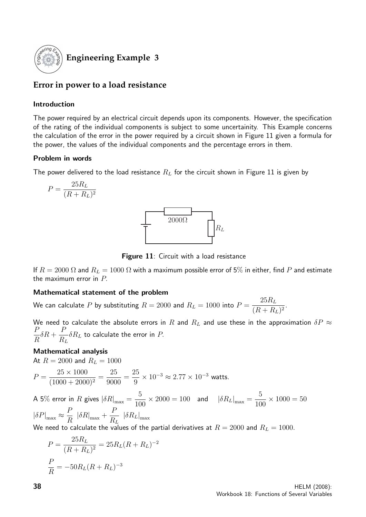

## **Engineering Example 3**

#### **Error in power to a load resistance**

#### Introduction

The power required by an electrical circuit depends upon its components. However, the specification of the rating of the individual components is subject to some uncertainity. This Example concerns the calculation of the error in the power required by a circuit shown in Figure 11 given a formula for the power, the values of the individual components and the percentage errors in them.

#### Problem in words

The power delivered to the load resistance  $R_L$  for the circuit shown in Figure 11 is given by

$$
P = \frac{25R_L}{(R + R_L)^2}
$$



Figure 11: Circuit with a load resistance

If  $R = 2000 \Omega$  and  $R_L = 1000 \Omega$  with a maximum possible error of 5% in either, find P and estimate the maximum error in P.

#### Mathematical statement of the problem

We can calculate  $P$  by substituting  $R=2000$  and  $R_L=1000$  into  $P=\frac{1}{2}$  $25R_L$  $\frac{251t_L}{(R+R_L)^2}.$ 

We need to calculate the absolute errors in R and  $R_L$  and use these in the approximation  $\delta P \approx$ P R  $\delta R\,+\,$ P  $R_L$  $\delta R_L$  to calculate the error in  $P.$ 

#### Mathematical analysis

At 
$$
R = 2000
$$
 and  $R_L = 1000$   
\n
$$
P = \frac{25 \times 1000}{(1000 + 2000)^2} = \frac{25}{9000} = \frac{25}{9} \times 10^{-3} \approx 2.77 \times 10^{-3}
$$
 watts.

A 5% error in  $R$  gives  $\left|\delta R\right|_{\rm max}=\displaystyle\frac{5}{10}$  $\frac{5}{100} \times 2000 = 100$  and  $|\delta R_L|_{\text{max}} = \frac{5}{10}$ 100  $\times$  1000 = 50  $|\delta P|_{\text{max}} \approx \frac{P}{R}$  $\frac{P}{R}$   $|\delta R|_{\text{max}} + \frac{P}{R}$  $\frac{1}{R_L}$   $|\delta R_L|_{\text{max}}$ 

We need to calculate the values of the partial derivatives at  $R = 2000$  and  $R_L = 1000$ .

$$
P = \frac{25R_L}{(R + R_L)^2} = 25R_L(R + R_L)^{-2}
$$

$$
\frac{P}{R} = -50R_L(R + R_L)^{-3}
$$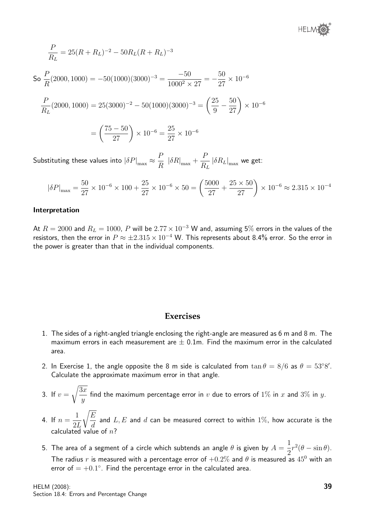$$
\frac{P}{R_L} = 25(R + R_L)^{-2} - 50R_L(R + R_L)^{-3}
$$
  
So  $\frac{P}{R}(2000, 1000) = -50(1000)(3000)^{-3} = \frac{-50}{1000^2 \times 27} = -\frac{50}{27} \times 10^{-6}$   
 $\frac{P}{R_L}(2000, 1000) = 25(3000)^{-2} - 50(1000)(3000)^{-3} = \left(\frac{25}{9} - \frac{50}{27}\right) \times 10^{-6}$   
 $= \left(\frac{75 - 50}{27}\right) \times 10^{-6} = \frac{25}{27} \times 10^{-6}$ 

Substituting these values into  $\left|\delta P\right|_{\max}\approx\frac{P}{R}$  $\frac{P}{R}$   $|\delta R|_{\text{max}} + \frac{P}{R}$  $\frac{1}{R_L} |\delta R_L|_{\rm max}$  we get:

$$
|\delta P|_{\text{max}} = \frac{50}{27} \times 10^{-6} \times 100 + \frac{25}{27} \times 10^{-6} \times 50 = \left(\frac{5000}{27} + \frac{25 \times 50}{27}\right) \times 10^{-6} \approx 2.315 \times 10^{-4}
$$

#### Interpretation

At  $R = 2000$  and  $R_L = 1000$ ,  $P$  will be  $2.77 \times 10^{-3}$  W and, assuming 5% errors in the values of the resistors, then the error in  $P \approx \pm 2.315 \times 10^{-4}$  W. This represents about 8.4% error. So the error in the power is greater than that in the individual components.

#### **Exercises**

- 1. The sides of a right-angled triangle enclosing the right-angle are measured as 6 m and 8 m. The maximum errors in each measurement are  $\pm$  0.1m. Find the maximum error in the calculated area.
- 2. In Exercise 1, the angle opposite the 8 m side is calculated from  $\tan \theta = 8/6$  as  $\theta = 53°8'$ . Calculate the approximate maximum error in that angle.
- 3. If  $v =$  $\sqrt{3x}$  $\hat{y}$ find the maximum percentage error in  $v$  due to errors of  $1\%$  in  $x$  and  $3\%$  in  $y.$
- 4. If  $n =$ 1 2L  $\sqrt{E}$ d and  $L,E$  and  $d$  can be measured correct to within  $1\%$ , how accurate is the calculated value of  $n$ ?
- 5. The area of a segment of a circle which subtends an angle  $\theta$  is given by  $A=$ 1 2  $r^2(\theta - \sin \theta).$ The radius r is measured with a percentage error of  $+0.2\%$  and  $\theta$  is measured as  $45^0$  with an error of  $= +0.1^{\circ}$ . Find the percentage error in the calculated area.